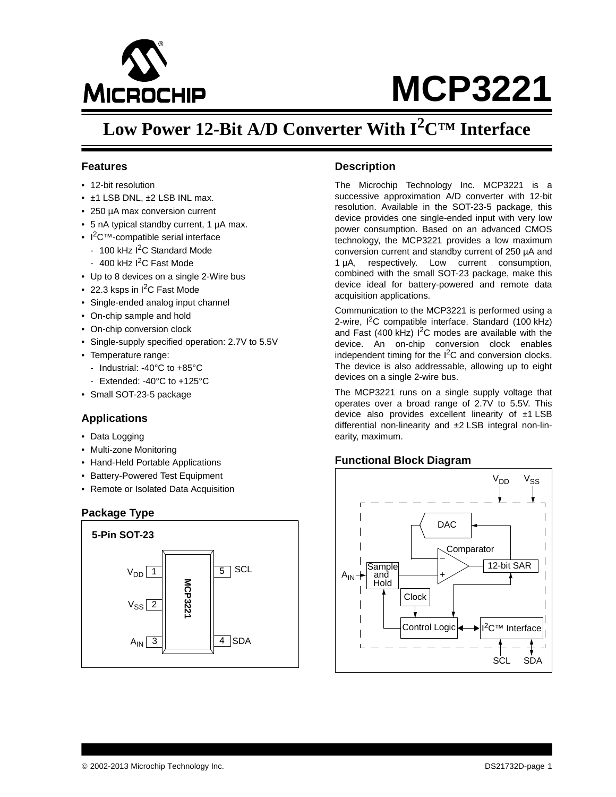

# **MCP3221**

# **Low Power 12-Bit A/D Converter With I2C™ Interface**

#### **Features**

- 12-bit resolution
- ±1 LSB DNL, ±2 LSB INL max.
- 250 µA max conversion current
- 5 nA typical standby current, 1 µA max.
- I<sup>2</sup>C™-compatible serial interface
	- 100 kHz I<sup>2</sup>C Standard Mode
- $-400$  kHz I<sup>2</sup>C Fast Mode
- Up to 8 devices on a single 2-Wire bus
- 22.3 ksps in  $I^2C$  Fast Mode
- Single-ended analog input channel
- On-chip sample and hold
- On-chip conversion clock
- Single-supply specified operation: 2.7V to 5.5V
- Temperature range:
	- Industrial: -40°C to +85°C
	- Extended: -40°C to +125°C
- Small SOT-23-5 package

#### **Applications**

- Data Logging
- Multi-zone Monitoring
- Hand-Held Portable Applications
- Battery-Powered Test Equipment
- Remote or Isolated Data Acquisition

#### **Package Type**



#### **Description**

The Microchip Technology Inc. MCP3221 is a successive approximation A/D converter with 12-bit resolution. Available in the SOT-23-5 package, this device provides one single-ended input with very low power consumption. Based on an advanced CMOS technology, the MCP3221 provides a low maximum conversion current and standby current of 250 µA and 1 µA, respectively. Low current consumption, combined with the small SOT-23 package, make this device ideal for battery-powered and remote data acquisition applications.

Communication to the MCP3221 is performed using a 2-wire,  $I^2C$  compatible interface. Standard (100 kHz) and Fast (400 kHz)  $1^2C$  modes are available with the device. An on-chip conversion clock enables independent timing for the  $I^2C$  and conversion clocks. The device is also addressable, allowing up to eight devices on a single 2-wire bus.

The MCP3221 runs on a single supply voltage that operates over a broad range of 2.7V to 5.5V. This device also provides excellent linearity of ±1 LSB differential non-linearity and ±2 LSB integral non-linearity, maximum.

#### **Functional Block Diagram**

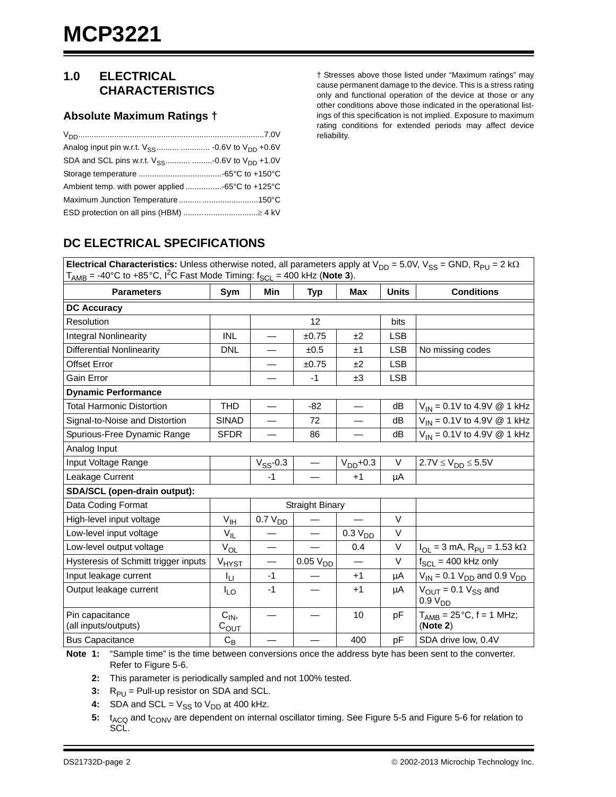## **1.0 ELECTRICAL CHARACTERISTICS**

#### **Absolute Maximum Ratings †**

| Analog input pin w.r.t. $V_{SS}$ -0.6V to $V_{DD}$ +0.6V |  |
|----------------------------------------------------------|--|
| SDA and SCL pins w.r.t. $V_{SS}$ -0.6V to $V_{DD}$ +1.0V |  |
|                                                          |  |
|                                                          |  |
|                                                          |  |
|                                                          |  |

† Stresses above those listed under "Maximum ratings" may cause permanent damage to the device. This is a stress rating only and functional operation of the device at those or any other conditions above those indicated in the operational listings of this specification is not implied. Exposure to maximum rating conditions for extended periods may affect device reliability.

## **DC ELECTRICAL SPECIFICATIONS**

**Electrical Characteristics:** Unless otherwise noted, all parameters apply at  $V_{DD} = 5.0V$ ,  $V_{SS} = GND$ ,  $R_{PU} = 2k\Omega$  $T<sub>AMB</sub> = -40°C$  to  $+85°C$ ,  $1<sup>2</sup>C$  Fast Mode Timing:  $f<sub>SCL</sub> = 400$  kHz (**[Note 3](#page-1-0)**).

| <b>Parameters</b>                       | Sym                  | Min                      | <b>Typ</b>             | <b>Max</b>          | <b>Units</b> | <b>Conditions</b>                                        |
|-----------------------------------------|----------------------|--------------------------|------------------------|---------------------|--------------|----------------------------------------------------------|
| <b>DC Accuracy</b>                      |                      |                          |                        |                     |              |                                                          |
| Resolution                              |                      |                          | 12                     |                     | bits         |                                                          |
| <b>Integral Nonlinearity</b>            | <b>INL</b>           |                          | ±0.75                  | ±2                  | <b>LSB</b>   |                                                          |
| <b>Differential Nonlinearity</b>        | <b>DNL</b>           |                          | ±0.5                   | ±1                  | <b>LSB</b>   | No missing codes                                         |
| <b>Offset Error</b>                     |                      |                          | ±0.75                  | ±2                  | <b>LSB</b>   |                                                          |
| Gain Error                              |                      |                          | $-1$                   | ±3                  | <b>LSB</b>   |                                                          |
| <b>Dynamic Performance</b>              |                      |                          |                        |                     |              |                                                          |
| <b>Total Harmonic Distortion</b>        | <b>THD</b>           |                          | $-82$                  |                     | dB           | $V_{IN} = 0.1V$ to 4.9V @ 1 kHz                          |
| Signal-to-Noise and Distortion          | <b>SINAD</b>         |                          | 72                     |                     | dB           | $V_{IN} = 0.1V$ to 4.9V @ 1 kHz                          |
| Spurious-Free Dynamic Range             | <b>SFDR</b>          |                          | 86                     |                     | dB           | $V_{IN} = 0.1V$ to 4.9V @ 1 kHz                          |
| Analog Input                            |                      |                          |                        |                     |              |                                                          |
| Input Voltage Range                     |                      | $V_{SS}$ -0.3            |                        | $V_{DD}$ +0.3       | $\vee$       | $2.7V \leq V_{DD} \leq 5.5V$                             |
| Leakage Current                         |                      | $-1$                     |                        | $+1$                | μA           |                                                          |
| SDA/SCL (open-drain output):            |                      |                          |                        |                     |              |                                                          |
| Data Coding Format                      |                      |                          | <b>Straight Binary</b> |                     |              |                                                          |
| High-level input voltage                | V <sub>IH</sub>      | 0.7 V <sub>DD</sub>      |                        |                     | $\vee$       |                                                          |
| Low-level input voltage                 | $V_{IL}$             |                          |                        | 0.3 V <sub>DD</sub> | V            |                                                          |
| Low-level output voltage                | $V_{OL}$             |                          |                        | 0.4                 | $\vee$       | $I_{OL} = 3$ mA, $R_{PU} = 1.53$ k $\Omega$              |
| Hysteresis of Schmitt trigger inputs    | V <sub>HYST</sub>    | $\overline{\phantom{0}}$ | 0.05 V <sub>DD</sub>   |                     | $\vee$       | $f_{SCL}$ = 400 kHz only                                 |
| Input leakage current                   | Ιu                   | $-1$                     |                        | $+1$                | μA           | $V_{IN}$ = 0.1 $V_{DD}$ and 0.9 $V_{DD}$                 |
| Output leakage current                  | $I_{LO}$             | $-1$                     |                        | $+1$                | μA           | $V_{\text{OUT}} = 0.1 V_{SS}$ and<br>0.9 V <sub>DD</sub> |
| Pin capacitance<br>(all inputs/outputs) | $C_{IN}$<br>$C_{OT}$ |                          |                        | 10                  | pF           | $T_{AMB} = 25^{\circ}C$ , f = 1 MHz;<br>(Note 2)         |
| <b>Bus Capacitance</b>                  | $C_B$                |                          |                        | 400                 | pF           | SDA drive low, 0.4V                                      |

<span id="page-1-4"></span><span id="page-1-1"></span>**Note 1:** "Sample time" is the time between conversions once the address byte has been sent to the converter. Refer to [Figure 5-6.](#page-16-0)

**2:** This parameter is periodically sampled and not 100% tested.

<span id="page-1-0"></span>**3:**  $R_{PU}$  = Pull-up resistor on SDA and SCL.

- <span id="page-1-2"></span>**4:** SDA and SCL =  $V_{SS}$  to  $V_{DD}$  at 400 kHz.
- <span id="page-1-3"></span>5: t<sub>ACQ</sub> and t<sub>CONV</sub> are dependent on internal oscillator timing. See [Figure 5-5](#page-16-1) and [Figure 5-6](#page-16-0) for relation to SCL.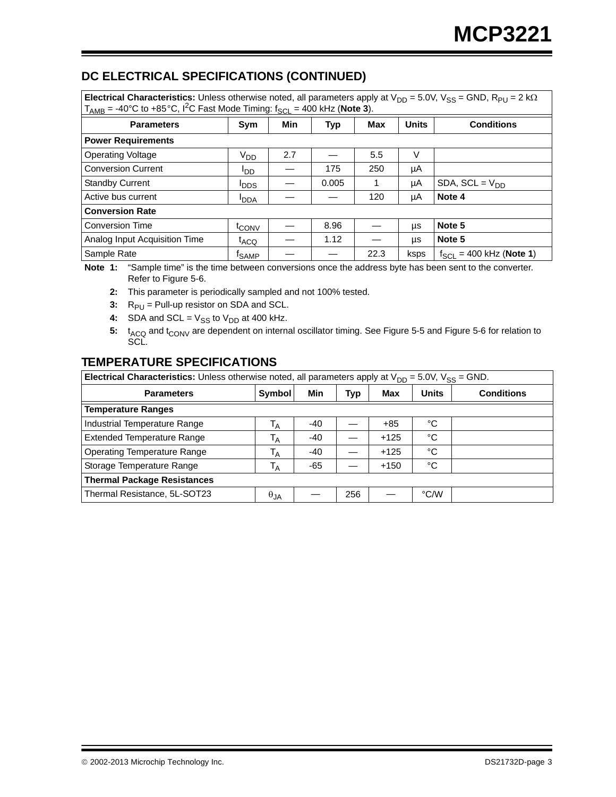## **DC ELECTRICAL SPECIFICATIONS (CONTINUED)**

**Electrical Characteristics:** Unless otherwise noted, all parameters apply at  $V_{DD} = 5.0V$ ,  $V_{SS} = GND$ ,  $R_{PU} = 2k\Omega$  $T<sub>AMB</sub> = -40°C$  to  $+85°C$ ,  ${}^{12}C$  Fast Mode Timing:  $f<sub>SCL</sub> = 400$  kHz (**Note 3**).

| <b>Parameters</b>             | Sym               | Min | <b>Typ</b> | Max  | <b>Units</b> | <b>Conditions</b>            |  |  |  |
|-------------------------------|-------------------|-----|------------|------|--------------|------------------------------|--|--|--|
| <b>Power Requirements</b>     |                   |     |            |      |              |                              |  |  |  |
| <b>Operating Voltage</b>      | V <sub>DD</sub>   | 2.7 |            | 5.5  | V            |                              |  |  |  |
| <b>Conversion Current</b>     | <sup>I</sup> DD   |     | 175        | 250  | μA           |                              |  |  |  |
| <b>Standby Current</b>        | <b>I</b> DDS      |     | 0.005      |      | μA           | SDA, $SCL = V_{DD}$          |  |  |  |
| Active bus current            | <b>I</b> DDA      |     |            | 120  | μA           | Note 4                       |  |  |  |
| <b>Conversion Rate</b>        |                   |     |            |      |              |                              |  |  |  |
| <b>Conversion Time</b>        | t <sub>CONV</sub> |     | 8.96       |      | μs           | Note 5                       |  |  |  |
| Analog Input Acquisition Time | t <sub>ACQ</sub>  |     | 1.12       |      | μs           | Note 5                       |  |  |  |
| Sample Rate                   | <sup>†</sup> SAMP |     |            | 22.3 | ksps         | $f_{SCL}$ = 400 kHz (Note 1) |  |  |  |

**Note 1:** "Sample time" is the time between conversions once the address byte has been sent to the converter. Refer to Figure 5-6.

**2:** This parameter is periodically sampled and not 100% tested.

**3:**  $R_{PI}$  = Pull-up resistor on SDA and SCL.

**4:** SDA and SCL =  $V_{SS}$  to  $V_{DD}$  at 400 kHz.

5: t<sub>ACQ</sub> and t<sub>CONV</sub> are dependent on internal oscillator timing. See Figure 5-5 and Figure 5-6 for relation to SCL.

## **TEMPERATURE SPECIFICATIONS**

**Electrical Characteristics:** Unless otherwise noted, all parameters apply at  $V_{DD} = 5.0V$ ,  $V_{SS} = GND$ .

| <b>Parameters</b>                  | Symbol         | Min   | Typ | Max    | <b>Units</b> | <b>Conditions</b> |  |
|------------------------------------|----------------|-------|-----|--------|--------------|-------------------|--|
| <b>Temperature Ranges</b>          |                |       |     |        |              |                   |  |
| Industrial Temperature Range       | <sup>1</sup> A | $-40$ |     | $+85$  | °C           |                   |  |
| <b>Extended Temperature Range</b>  | $T_A$          | -40   |     | $+125$ | °C           |                   |  |
| <b>Operating Temperature Range</b> | T <sub>A</sub> | -40   |     | $+125$ | °C           |                   |  |
| Storage Temperature Range          | <sup>1</sup> A | $-65$ |     | $+150$ | °C           |                   |  |
| <b>Thermal Package Resistances</b> |                |       |     |        |              |                   |  |
| Thermal Resistance, 5L-SOT23       | $\theta_{JA}$  |       | 256 |        | °C/W         |                   |  |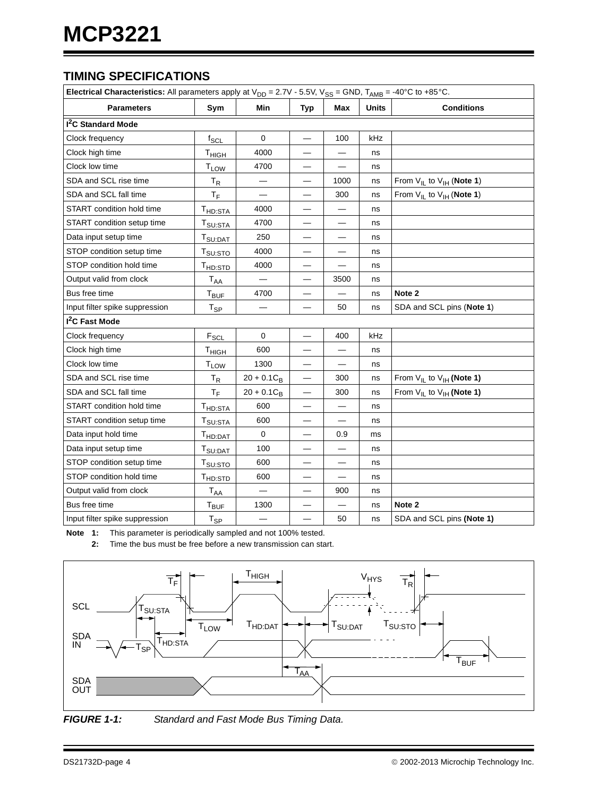## **TIMING SPECIFICATIONS**

| Electrical Characteristics: All parameters apply at $V_{DD} = 2.7V - 5.5V$ , $V_{SS} = GND$ , $T_{AMB} = -40^{\circ}C$ to +85°C. |                                         |                          |            |      |              |                                    |  |  |
|----------------------------------------------------------------------------------------------------------------------------------|-----------------------------------------|--------------------------|------------|------|--------------|------------------------------------|--|--|
| <b>Parameters</b>                                                                                                                | Sym                                     | Min                      | <b>Typ</b> | Max  | <b>Units</b> | <b>Conditions</b>                  |  |  |
| <sup>2</sup> C Standard Mode                                                                                                     |                                         |                          |            |      |              |                                    |  |  |
| Clock frequency                                                                                                                  | $f_{SCL}$                               | 0                        |            | 100  | kHz          |                                    |  |  |
| Clock high time                                                                                                                  | T <sub>HIGH</sub>                       | 4000                     |            |      | ns           |                                    |  |  |
| Clock low time                                                                                                                   | <b>T</b> LOW                            | 4700                     |            |      | ns           |                                    |  |  |
| SDA and SCL rise time                                                                                                            | $T_R$                                   |                          |            | 1000 | ns           | From $V_{IL}$ to $V_{IH}$ (Note 1) |  |  |
| SDA and SCL fall time                                                                                                            | $T_F$                                   | $\overline{\phantom{0}}$ |            | 300  | ns           | From $V_{IL}$ to $V_{IH}$ (Note 1) |  |  |
| START condition hold time                                                                                                        | T <sub>HD:STA</sub>                     | 4000                     |            |      | ns           |                                    |  |  |
| START condition setup time                                                                                                       | $\mathsf{T}_{\mathsf{SU}:\mathsf{STA}}$ | 4700                     |            | —    | ns           |                                    |  |  |
| Data input setup time                                                                                                            | T <sub>SU:DAT</sub>                     | 250                      |            |      | ns           |                                    |  |  |
| STOP condition setup time                                                                                                        | T <sub>SU:STO</sub>                     | 4000                     |            |      | ns           |                                    |  |  |
| STOP condition hold time                                                                                                         | T <sub>HD:STD</sub>                     | 4000                     |            |      | ns           |                                    |  |  |
| Output valid from clock                                                                                                          | <b>T<sub>AA</sub></b>                   |                          |            | 3500 | ns           |                                    |  |  |
| Bus free time                                                                                                                    | $T_{\mathsf{BUF}}$                      | 4700                     |            |      | ns           | Note 2                             |  |  |
| Input filter spike suppression                                                                                                   | $\mathsf{T}_{\mathsf{SP}}$              |                          |            | 50   | ns           | SDA and SCL pins (Note 1)          |  |  |
| I <sup>2</sup> C Fast Mode                                                                                                       |                                         |                          |            |      |              |                                    |  |  |
| Clock frequency                                                                                                                  | $F_{SCL}$                               | $\mathbf 0$              |            | 400  | kHz          |                                    |  |  |
| Clock high time                                                                                                                  | T <sub>HIGH</sub>                       | 600                      |            |      | ns           |                                    |  |  |
| Clock low time                                                                                                                   | T <sub>LOW</sub>                        | 1300                     |            |      | ns           |                                    |  |  |
| SDA and SCL rise time                                                                                                            | $T_R$                                   | $20 + 0.1C_B$            |            | 300  | ns           | From $V_{IL}$ to $V_{IH}$ (Note 1) |  |  |
| SDA and SCL fall time                                                                                                            | $T_F$                                   | $20 + 0.1C_B$            |            | 300  | ns           | From $V_{IL}$ to $V_{IH}$ (Note 1) |  |  |
| START condition hold time                                                                                                        | T <sub>HD:STA</sub>                     | 600                      |            |      | ns           |                                    |  |  |
| START condition setup time                                                                                                       | $T_{\mathsf{SU}: \mathsf{STA}}$         | 600                      |            |      | ns           |                                    |  |  |
| Data input hold time                                                                                                             | T <sub>HD:DAT</sub>                     | 0                        |            | 0.9  | ms           |                                    |  |  |
| Data input setup time                                                                                                            | T <sub>SU:DAT</sub>                     | 100                      |            |      | ns           |                                    |  |  |
| STOP condition setup time                                                                                                        | T <sub>SU:STO</sub>                     | 600                      |            |      | ns           |                                    |  |  |
| STOP condition hold time                                                                                                         | T <sub>HD:STD</sub>                     | 600                      |            |      | ns           |                                    |  |  |
| Output valid from clock                                                                                                          | $\mathsf{T}_{\mathsf{AA}}$              |                          |            | 900  | ns           |                                    |  |  |
| Bus free time                                                                                                                    | $\mathsf{T}_{\mathsf{BUF}}$             | 1300                     |            |      | ns           | Note 2                             |  |  |
| Input filter spike suppression                                                                                                   | $T_{SP}$                                |                          |            | 50   | ns           | SDA and SCL pins (Note 1)          |  |  |

<span id="page-3-1"></span><span id="page-3-0"></span>**Note 1:** This parameter is periodically sampled and not 100% tested.

**2:** Time the bus must be free before a new transmission can start.



*FIGURE 1-1: Standard and Fast Mode Bus Timing Data.*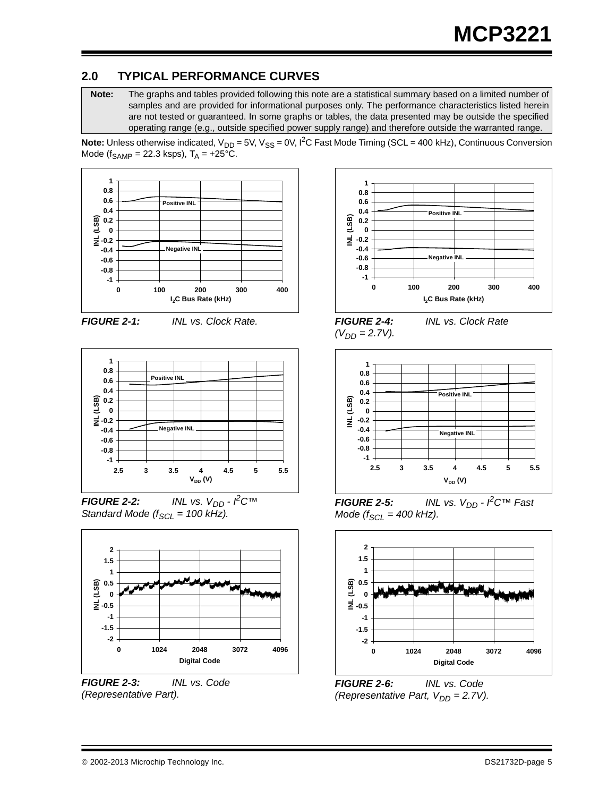## **2.0 TYPICAL PERFORMANCE CURVES**

**Note:** The graphs and tables provided following this note are a statistical summary based on a limited number of samples and are provided for informational purposes only. The performance characteristics listed herein are not tested or guaranteed. In some graphs or tables, the data presented may be outside the specified operating range (e.g., outside specified power supply range) and therefore outside the warranted range.

**Note:** Unless otherwise indicated,  $V_{DD} = 5V$ ,  $V_{SS} = 0V$ ,  $I^2C$  Fast Mode Timing (SCL = 400 kHz), Continuous Conversion Mode ( $f_{SAMP}$  = 22.3 ksps),  $T_A$  = +25°C.







 $FIGURE 2-2:$  *INL vs. V<sub>DD</sub> -*  $\angle$ *<sup>2</sup>C<sup>TM</sup> Standard Mode (f<sub>SCL</sub> = 100 kHz).* 



*FIGURE 2-3: INL vs. Code (Representative Part).*



 $(V_{DD} = 2.7V)$ .

*FIGURE 2-4: INL vs. Clock Rate* 



*INL vs. V<sub>DD</sub> -*  $\angle$ *C<sup>TM</sup> Fast Mode* ( $f_{SCL}$  = 400 kHz).



*FIGURE 2-6: INL vs. Code (Representative Part, V<sub>DD</sub> = 2.7V).*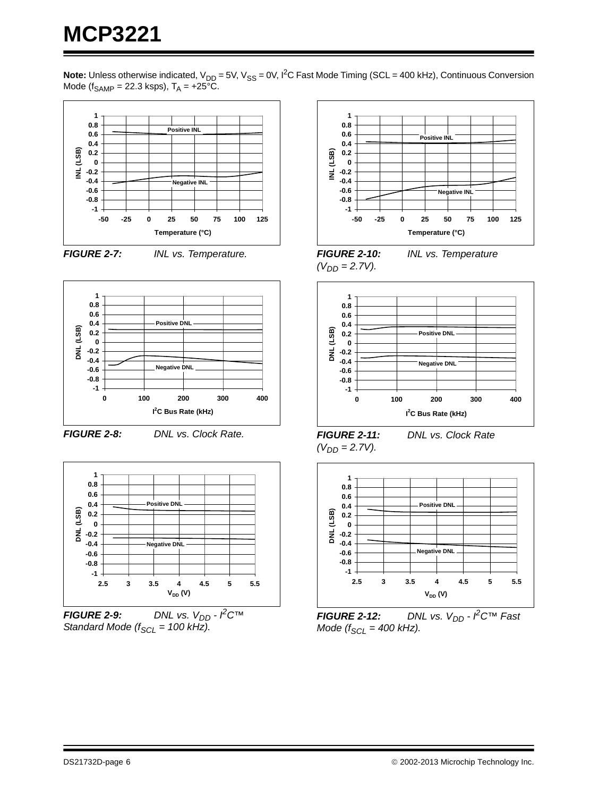**Note:** Unless otherwise indicated,  $V_{DD} = 5V$ ,  $V_{SS} = 0V$ ,  $I^2C$  Fast Mode Timing (SCL = 400 kHz), Continuous Conversion Mode ( $f_{SAMP}$  = 22.3 ksps),  $T_A$  = +25°C.



*FIGURE 2-7: INL vs. Temperature.*



*FIGURE 2-8: DNL vs. Clock Rate.*



*FIGURE 2-9: DNL vs.*  $V_{DD} - \cancel{P}C^{TM}$ *Standard Mode (* $f_{SCL}$  *= 100 kHz).* 



*FIGURE 2-10: INL vs. Temperature*   $(V_{DD} = 2.7V)$ .



*FIGURE 2-11: DNL vs. Clock Rate*   $(V_{DD} = 2.7V)$ .



*FIGURE 2-12: DNL vs. V<sub>DD</sub> - <sup><i>P*</sup>C™ Fast</sup> *Mode* ( $f_{SCL}$  = 400 kHz).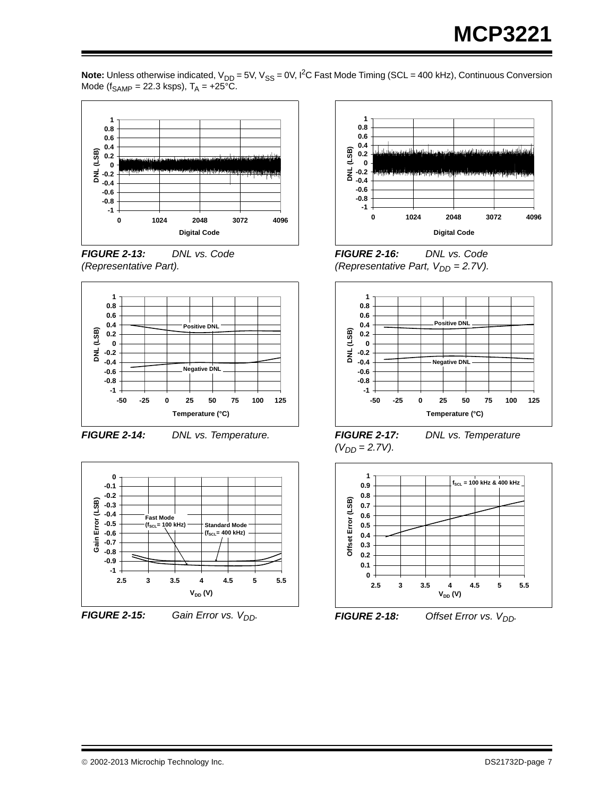

**Note:** Unless otherwise indicated, V<sub>DD</sub> = 5V, V<sub>SS</sub> = 0V, I<sup>2</sup>C Fast Mode Timing (SCL = 400 kHz), Continuous Conversion Mode (f<sub>SAMP</sub> = 22.3 ksps),  $T_A$  = +25°C.





*FIGURE 2-14: DNL vs. Temperature.*





*FIGURE 2-15: Gain Error vs.*  $V_{DD}$ .



*FIGURE 2-16: DNL vs. Code (Representative Part,*  $V_{DD} = 2.7V$ *).* 



*FIGURE 2-17: DNL vs. Temperature*   $(V_{DD} = 2.7V)$ .



*FIGURE 2-18: Offset Error vs. V<sub>DD</sub>.*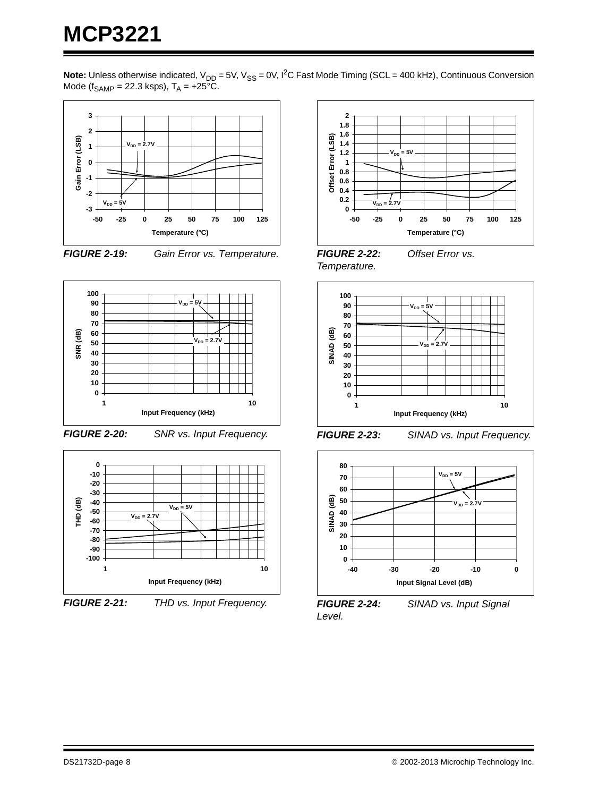**Note:** Unless otherwise indicated, V<sub>DD</sub> = 5V, V<sub>SS</sub> = 0V, I<sup>2</sup>C Fast Mode Timing (SCL = 400 kHz), Continuous Conversion Mode (f<sub>SAMP</sub> = 22.3 ksps),  $T_A$  = +25°C.









*FIGURE 2-20: SNR vs. Input Frequency.*



*FIGURE 2-21: THD vs. Input Frequency.*



*FIGURE 2-22: Offset Error vs. Temperature.*



*FIGURE 2-23: SINAD vs. Input Frequency.*



*FIGURE 2-24: SINAD vs. Input Signal Level.*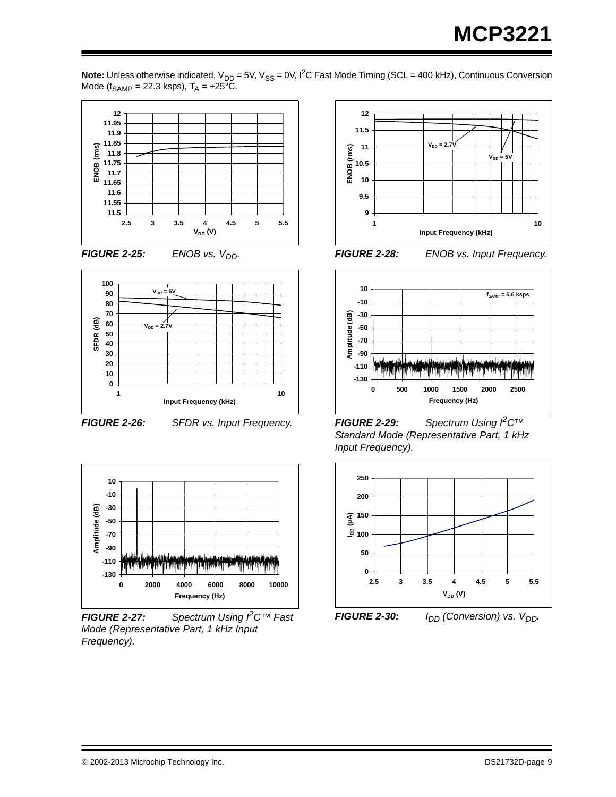







*FIGURE 2-26: SFDR vs. Input Frequency.*



*FIGURE 2-27: Spectrum Using I2C™ Fast Mode (Representative Part, 1 kHz Input Frequency).*



*FIGURE 2-28: ENOB vs. Input Frequency.*



*FIGURE 2-29: Spectrum Using I2C™ Standard Mode (Representative Part, 1 kHz Input Frequency).*



*FIGURE 2-30: I<sub>DD</sub>* (Conversion) vs. V<sub>DD</sub>.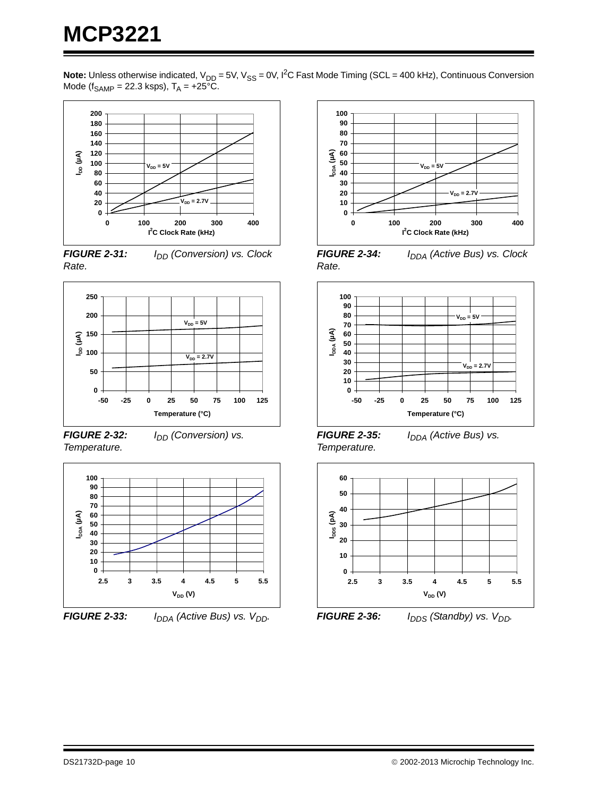**Note:** Unless otherwise indicated, V<sub>DD</sub> = 5V, V<sub>SS</sub> = 0V, I<sup>2</sup>C Fast Mode Timing (SCL = 400 kHz), Continuous Conversion Mode (f<sub>SAMP</sub> = 22.3 ksps),  $T_A$  = +25°C.



**FIGURE 2-31:** *I<sub>DD</sub>* (Conversion) vs. Clock *Rate.*



*FIGURE 2-32: I<sub>DD</sub> (Conversion) vs. Temperature.*



*FIGURE 2-33: I<sub>DDA</sub>* (Active Bus) vs.  $V_{DD}$ .



**FIGURE 2-34:** *I<sub>DDA</sub>* (Active Bus) vs. Clock *Rate.*



*FIGURE 2-35: I<sub>DDA</sub> (Active Bus) vs. Temperature.*



*FIGURE 2-36: I<sub>DDS</sub> (Standby) vs. V<sub>DD</sub>.*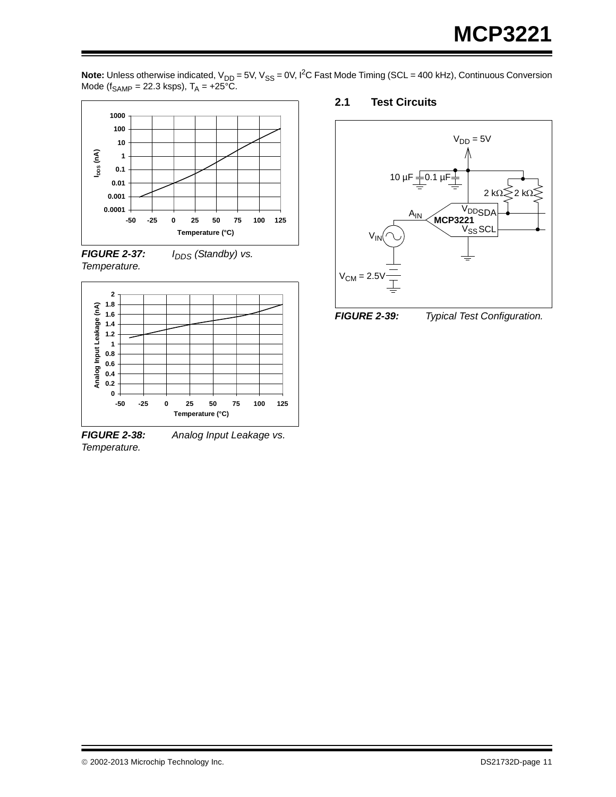**Note:** Unless otherwise indicated, V<sub>DD</sub> = 5V, V<sub>SS</sub> = 0V, I<sup>2</sup>C Fast Mode Timing (SCL = 400 kHz), Continuous Conversion Mode (f<sub>SAMP</sub> = 22.3 ksps),  $T_A$  = +25°C.







*Temperature.*

*FIGURE 2-38: Analog Input Leakage vs.* 

## **2.1 Test Circuits**





*FIGURE 2-39: Typical Test Configuration.*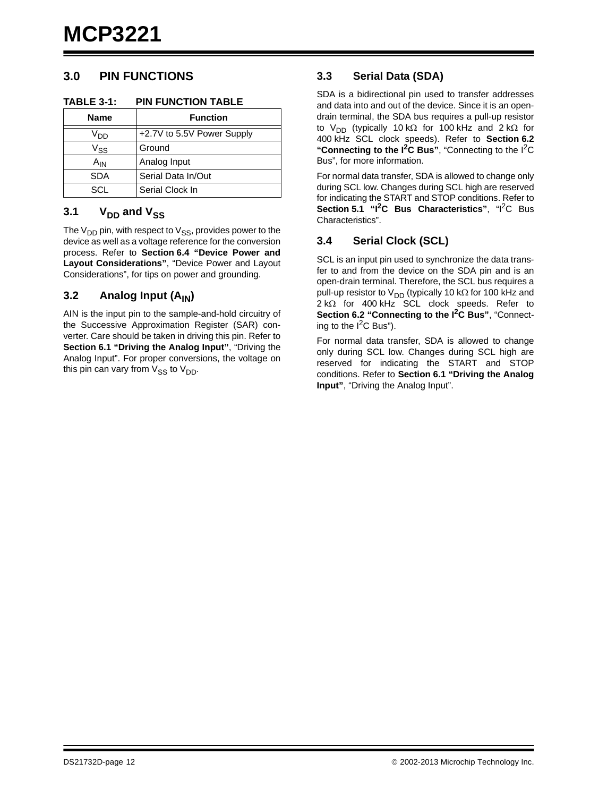## **3.0 PIN FUNCTIONS**

#### **TABLE 3-1: PIN FUNCTION TABLE**

| <b>Name</b>     | <b>Function</b>            |
|-----------------|----------------------------|
| V <sub>DD</sub> | +2.7V to 5.5V Power Supply |
| V <sub>SS</sub> | Ground                     |
| A <sub>IN</sub> | Analog Input               |
| <b>SDA</b>      | Serial Data In/Out         |
| SCL             | Serial Clock In            |

## 3.1  $V_{DD}$  and  $V_{SS}$

The  $V_{DD}$  pin, with respect to  $V_{SS}$ , provides power to the device as well as a voltage reference for the conversion process. Refer to **[Section 6.4 "Device Power and](#page-18-0) [Layout Considerations"](#page-18-0)**, "Device Power and Layout Considerations", for tips on power and grounding.

#### **3.2** Analog Input (A<sub>IN</sub>)

AIN is the input pin to the sample-and-hold circuitry of the Successive Approximation Register (SAR) converter. Care should be taken in driving this pin. Refer to **[Section 6.1 "Driving the Analog Input"](#page-17-0)**, "Driving the Analog Input". For proper conversions, the voltage on this pin can vary from  $V_{SS}$  to  $V_{DD}$ .

#### **3.3 Serial Data (SDA)**

SDA is a bidirectional pin used to transfer addresses and data into and out of the device. Since it is an opendrain terminal, the SDA bus requires a pull-up resistor to V<sub>DD</sub> (typically 10 k $\Omega$  for 100 kHz and 2 k $\Omega$  for 400 kHz SCL clock speeds). Refer to **[Section 6.2](#page-17-1) ["Connecting to the I2C Bus"](#page-17-1)**, "Connecting to the I2C Bus", for more information.

For normal data transfer, SDA is allowed to change only during SCL low. Changes during SCL high are reserved for indicating the START and STOP conditions. Refer to **Section 5.1 "I<sup>2</sup>C Bus Characteristics", "I<sup>2</sup>C Bus** Characteristics".

## **3.4 Serial Clock (SCL)**

SCL is an input pin used to synchronize the data transfer to and from the device on the SDA pin and is an open-drain terminal. Therefore, the SCL bus requires a pull-up resistor to  $V_{DD}$  (typically 10 k $\Omega$  for 100 kHz and  $2 k\Omega$  for 400 kHz SCL clock speeds. Refer to **[Section 6.2 "Connecting to the I](#page-17-1)2C Bus"**, "Connecting to the  $I^2C$  Bus").

For normal data transfer, SDA is allowed to change only during SCL low. Changes during SCL high are reserved for indicating the START and STOP conditions. Refer to **[Section 6.1 "Driving the Analog](#page-17-0) [Input"](#page-17-0)**, "Driving the Analog Input".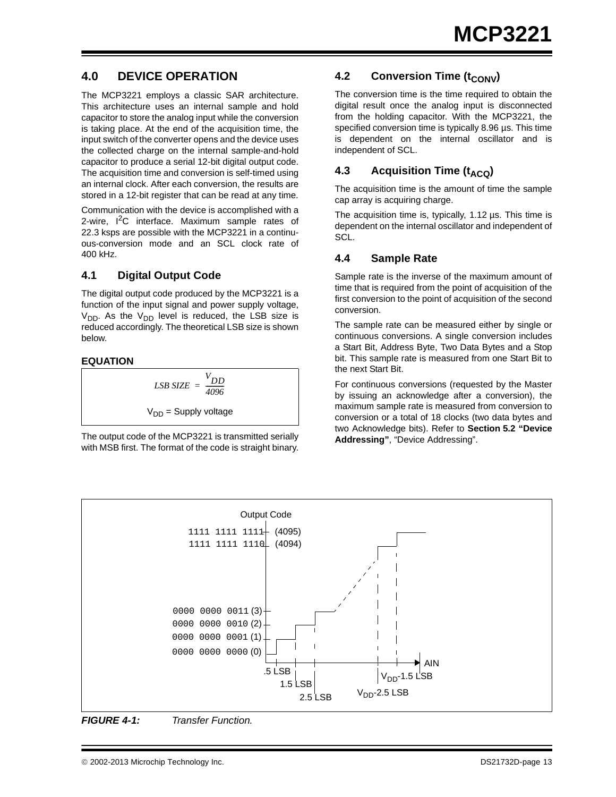## **4.0 DEVICE OPERATION**

The MCP3221 employs a classic SAR architecture. This architecture uses an internal sample and hold capacitor to store the analog input while the conversion is taking place. At the end of the acquisition time, the input switch of the converter opens and the device uses the collected charge on the internal sample-and-hold capacitor to produce a serial 12-bit digital output code. The acquisition time and conversion is self-timed using an internal clock. After each conversion, the results are stored in a 12-bit register that can be read at any time.

Communication with the device is accomplished with a 2-wire,  $I^2C$  interface. Maximum sample rates of 22.3 ksps are possible with the MCP3221 in a continuous-conversion mode and an SCL clock rate of 400 kHz.

#### **4.1 Digital Output Code**

The digital output code produced by the MCP3221 is a function of the input signal and power supply voltage,  $V_{DD}$ . As the  $V_{DD}$  level is reduced, the LSB size is reduced accordingly. The theoretical LSB size is shown below.

#### **EQUATION**

*LSB SIZE VDD <sup>4096</sup> <sup>=</sup> ------------*  $V_{DD}$  = Supply voltage

The output code of the MCP3221 is transmitted serially with MSB first. The format of the code is straight binary.

## **4.2 Conversion Time (t<sub>CONV</sub>)**

The conversion time is the time required to obtain the digital result once the analog input is disconnected from the holding capacitor. With the MCP3221, the specified conversion time is typically 8.96 µs. This time is dependent on the internal oscillator and is independent of SCL.

## **4.3** Acquisition Time (t<sub>ACQ</sub>)

The acquisition time is the amount of time the sample cap array is acquiring charge.

The acquisition time is, typically, 1.12 µs. This time is dependent on the internal oscillator and independent of SCL.

#### **4.4 Sample Rate**

Sample rate is the inverse of the maximum amount of time that is required from the point of acquisition of the first conversion to the point of acquisition of the second conversion.

The sample rate can be measured either by single or continuous conversions. A single conversion includes a Start Bit, Address Byte, Two Data Bytes and a Stop bit. This sample rate is measured from one Start Bit to the next Start Bit.

For continuous conversions (requested by the Master by issuing an acknowledge after a conversion), the maximum sample rate is measured from conversion to conversion or a total of 18 clocks (two data bytes and two Acknowledge bits). Refer to **[Section 5.2 "Device](#page-15-0) [Addressing"](#page-15-0)**, "Device Addressing".



*FIGURE 4-1: Transfer Function.*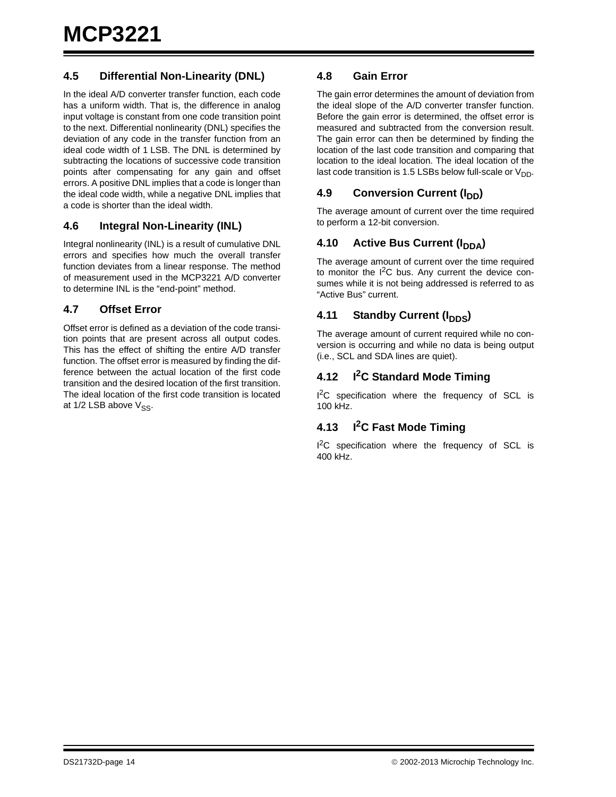#### **4.5 Differential Non-Linearity (DNL)**

In the ideal A/D converter transfer function, each code has a uniform width. That is, the difference in analog input voltage is constant from one code transition point to the next. Differential nonlinearity (DNL) specifies the deviation of any code in the transfer function from an ideal code width of 1 LSB. The DNL is determined by subtracting the locations of successive code transition points after compensating for any gain and offset errors. A positive DNL implies that a code is longer than the ideal code width, while a negative DNL implies that a code is shorter than the ideal width.

#### **4.6 Integral Non-Linearity (INL)**

Integral nonlinearity (INL) is a result of cumulative DNL errors and specifies how much the overall transfer function deviates from a linear response. The method of measurement used in the MCP3221 A/D converter to determine INL is the "end-point" method.

#### **4.7 Offset Error**

Offset error is defined as a deviation of the code transition points that are present across all output codes. This has the effect of shifting the entire A/D transfer function. The offset error is measured by finding the difference between the actual location of the first code transition and the desired location of the first transition. The ideal location of the first code transition is located at  $1/2$  LSB above  $V_{SS}$ .

#### **4.8 Gain Error**

The gain error determines the amount of deviation from the ideal slope of the A/D converter transfer function. Before the gain error is determined, the offset error is measured and subtracted from the conversion result. The gain error can then be determined by finding the location of the last code transition and comparing that location to the ideal location. The ideal location of the last code transition is 1.5 LSBs below full-scale or  $V_{DD}$ .

#### **4.9 Conversion Current (I<sub>DD</sub>)**

The average amount of current over the time required to perform a 12-bit conversion.

## **4.10 Active Bus Current (I<sub>DDA</sub>)**

The average amount of current over the time required to monitor the  $I^2C$  bus. Any current the device consumes while it is not being addressed is referred to as "Active Bus" current.

#### **4.11 Standby Current (I<sub>DDS</sub>)**

The average amount of current required while no conversion is occurring and while no data is being output (i.e., SCL and SDA lines are quiet).

## **4.12 I2C Standard Mode Timing**

I<sup>2</sup>C specification where the frequency of SCL is 100 kHz.

## **4.13 I2C Fast Mode Timing**

I<sup>2</sup>C specification where the frequency of SCL is 400 kHz.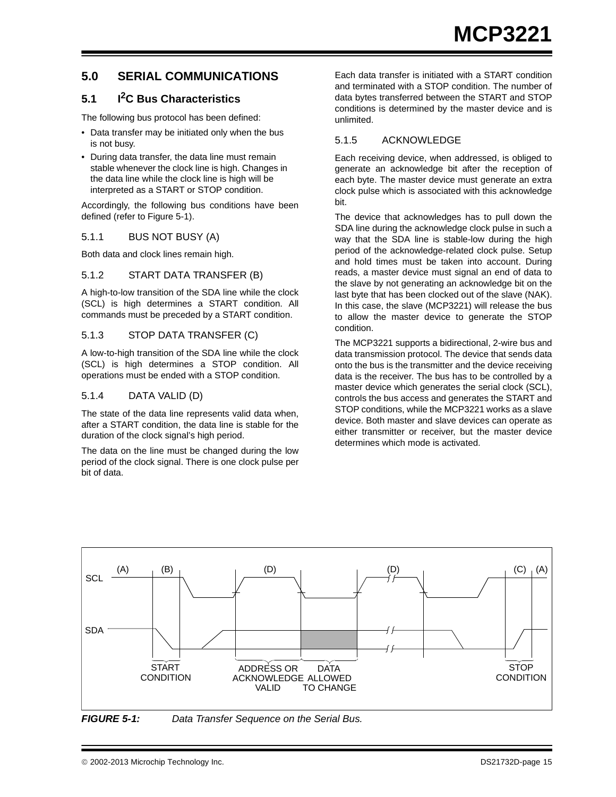## **5.0 SERIAL COMMUNICATIONS**

## <span id="page-14-0"></span>**5.1 I2C Bus Characteristics**

The following bus protocol has been defined:

- Data transfer may be initiated only when the bus is not busy.
- During data transfer, the data line must remain stable whenever the clock line is high. Changes in the data line while the clock line is high will be interpreted as a START or STOP condition.

Accordingly, the following bus conditions have been defined (refer to [Figure 5-1\)](#page-14-1).

#### 5.1.1 BUS NOT BUSY (A)

Both data and clock lines remain high.

#### 5.1.2 START DATA TRANSFER (B)

A high-to-low transition of the SDA line while the clock (SCL) is high determines a START condition. All commands must be preceded by a START condition.

#### 5.1.3 STOP DATA TRANSFER (C)

A low-to-high transition of the SDA line while the clock (SCL) is high determines a STOP condition. All operations must be ended with a STOP condition.

#### 5.1.4 DATA VALID (D)

The state of the data line represents valid data when, after a START condition, the data line is stable for the duration of the clock signal's high period.

The data on the line must be changed during the low period of the clock signal. There is one clock pulse per bit of data.

Each data transfer is initiated with a START condition and terminated with a STOP condition. The number of data bytes transferred between the START and STOP conditions is determined by the master device and is unlimited.

#### 5.1.5 ACKNOWLEDGE

Each receiving device, when addressed, is obliged to generate an acknowledge bit after the reception of each byte. The master device must generate an extra clock pulse which is associated with this acknowledge bit.

The device that acknowledges has to pull down the SDA line during the acknowledge clock pulse in such a way that the SDA line is stable-low during the high period of the acknowledge-related clock pulse. Setup and hold times must be taken into account. During reads, a master device must signal an end of data to the slave by not generating an acknowledge bit on the last byte that has been clocked out of the slave (NAK). In this case, the slave (MCP3221) will release the bus to allow the master device to generate the STOP condition.

The MCP3221 supports a bidirectional, 2-wire bus and data transmission protocol. The device that sends data onto the bus is the transmitter and the device receiving data is the receiver. The bus has to be controlled by a master device which generates the serial clock (SCL), controls the bus access and generates the START and STOP conditions, while the MCP3221 works as a slave device. Both master and slave devices can operate as either transmitter or receiver, but the master device determines which mode is activated.



<span id="page-14-1"></span>*FIGURE 5-1: Data Transfer Sequence on the Serial Bus.*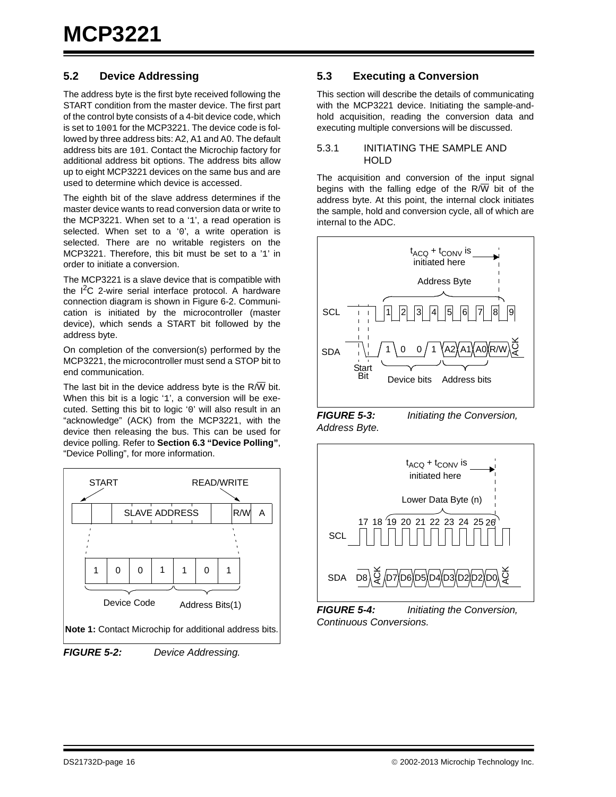#### <span id="page-15-0"></span>**5.2 Device Addressing**

The address byte is the first byte received following the START condition from the master device. The first part of the control byte consists of a 4-bit device code, which is set to 1001 for the MCP3221. The device code is followed by three address bits: A2, A1 and A0. The default address bits are 101. Contact the Microchip factory for additional address bit options. The address bits allow up to eight MCP3221 devices on the same bus and are used to determine which device is accessed.

The eighth bit of the slave address determines if the master device wants to read conversion data or write to the MCP3221. When set to a '1', a read operation is selected. When set to a '0', a write operation is selected. There are no writable registers on the MCP3221. Therefore, this bit must be set to a '1' in order to initiate a conversion.

The MCP3221 is a slave device that is compatible with the  $I^2C$  2-wire serial interface protocol. A hardware connection diagram is shown in [Figure 6-2](#page-17-2). Communication is initiated by the microcontroller (master device), which sends a START bit followed by the address byte.

On completion of the conversion(s) performed by the MCP3221, the microcontroller must send a STOP bit to end communication.

The last bit in the device address byte is the  $R/\overline{W}$  bit. When this bit is a logic '1', a conversion will be executed. Setting this bit to logic '0' will also result in an "acknowledge" (ACK) from the MCP3221, with the device then releasing the bus. This can be used for device polling. Refer to **[Section 6.3 "Device Polling"](#page-18-1)**, "Device Polling", for more information.



*FIGURE 5-2: Device Addressing.*

#### **5.3 Executing a Conversion**

This section will describe the details of communicating with the MCP3221 device. Initiating the sample-andhold acquisition, reading the conversion data and executing multiple conversions will be discussed.

#### 5.3.1 INITIATING THE SAMPLE AND HOLD

The acquisition and conversion of the input signal begins with the falling edge of the  $R/\overline{W}$  bit of the address byte. At this point, the internal clock initiates the sample, hold and conversion cycle, all of which are internal to the ADC.



*Address Byte.*

<span id="page-15-1"></span>*FIGURE 5-3: Initiating the Conversion,* 



*FIGURE 5-4: Initiating the Conversion, Continuous Conversions.*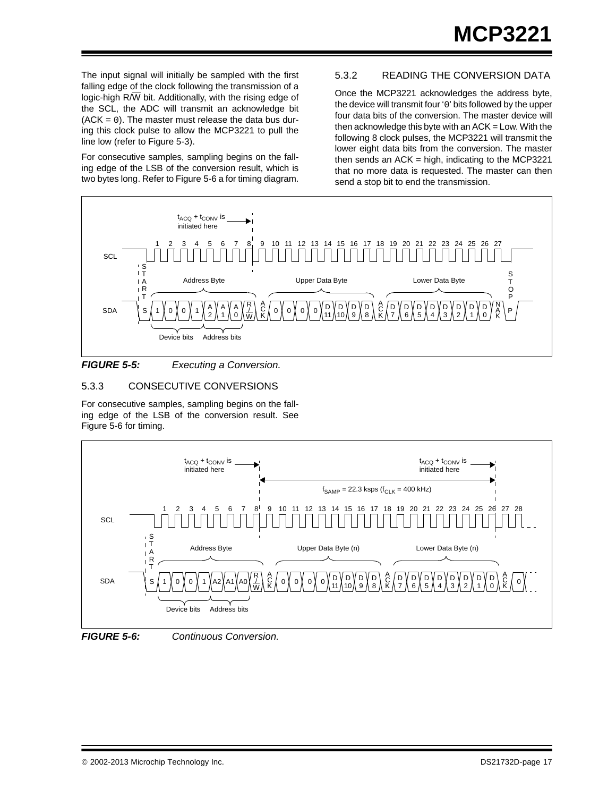The input signal will initially be sampled with the first falling edge of the clock following the transmission of a logic-high  $R/\overline{W}$  bit. Additionally, with the rising edge of the SCL, the ADC will transmit an acknowledge bit  $(ACK = 0)$ . The master must release the data bus during this clock pulse to allow the MCP3221 to pull the line low (refer to [Figure 5-3](#page-15-1)).

For consecutive samples, sampling begins on the falling edge of the LSB of the conversion result, which is two bytes long. Refer to [Figure 5-6](#page-16-0) a for timing diagram.

## 5.3.2 READING THE CONVERSION DATA

Once the MCP3221 acknowledges the address byte, the device will transmit four '0' bits followed by the upper four data bits of the conversion. The master device will then acknowledge this byte with an  $ACK = Low$ . With the following 8 clock pulses, the MCP3221 will transmit the lower eight data bits from the conversion. The master then sends an  $ACK = high$ , indicating to the MCP3221 that no more data is requested. The master can then send a stop bit to end the transmission.



#### <span id="page-16-1"></span>*FIGURE 5-5: Executing a Conversion.*

#### 5.3.3 CONSECUTIVE CONVERSIONS

For consecutive samples, sampling begins on the falling edge of the LSB of the conversion result. See [Figure 5-6](#page-16-0) for timing.





<span id="page-16-0"></span>*FIGURE 5-6: Continuous Conversion.*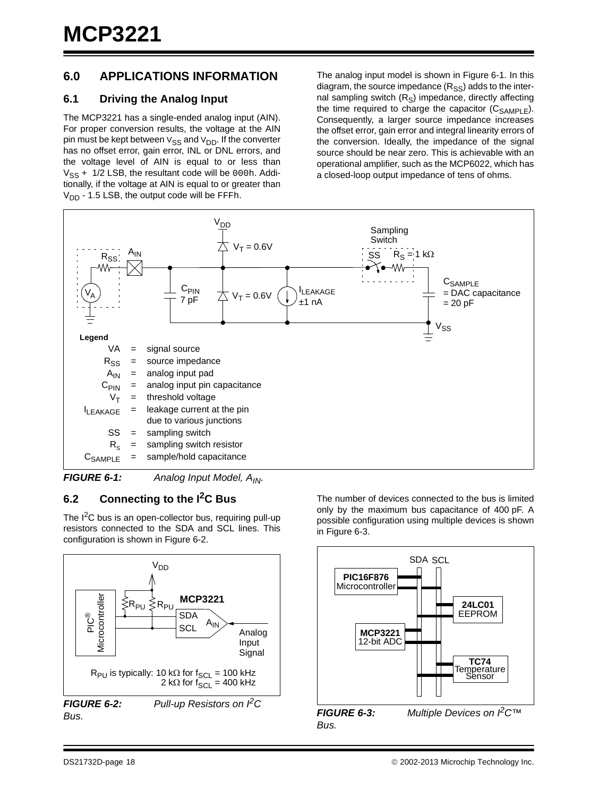## **6.0 APPLICATIONS INFORMATION**

#### <span id="page-17-0"></span>**6.1 Driving the Analog Input**

The MCP3221 has a single-ended analog input (AIN). For proper conversion results, the voltage at the AIN pin must be kept between  $V_{SS}$  and  $V_{DD}$ . If the converter has no offset error, gain error, INL or DNL errors, and the voltage level of AIN is equal to or less than  $V_{SS}$  + 1/2 LSB, the resultant code will be 000h. Additionally, if the voltage at AIN is equal to or greater than  $V_{DD}$  - 1.5 LSB, the output code will be FFFh.

The analog input model is shown in [Figure 6-1](#page-17-3). In this diagram, the source impedance  $(R_{SS})$  adds to the internal sampling switch  $(R<sub>S</sub>)$  impedance, directly affecting the time required to charge the capacitor  $(C_{SAMPLE})$ . Consequently, a larger source impedance increases the offset error, gain error and integral linearity errors of the conversion. Ideally, the impedance of the signal source should be near zero. This is achievable with an operational amplifier, such as the MCP6022, which has a closed-loop output impedance of tens of ohms.



<span id="page-17-3"></span>*FIGURE 6-1:* Analog Input Model, A<sub>IN</sub>.

## <span id="page-17-1"></span>**6.2 Connecting to the I2C Bus**

The  $I^2C$  bus is an open-collector bus, requiring pull-up resistors connected to the SDA and SCL lines. This configuration is shown in [Figure 6-2.](#page-17-2)

<span id="page-17-2"></span>

The number of devices connected to the bus is limited only by the maximum bus capacitance of 400 pF. A possible configuration using multiple devices is shown in [Figure 6-3](#page-17-4).



<span id="page-17-4"></span>**FIGURE 6-3:** *Multiple Devices on <sup><i>P*</sup>C™ *Bus.*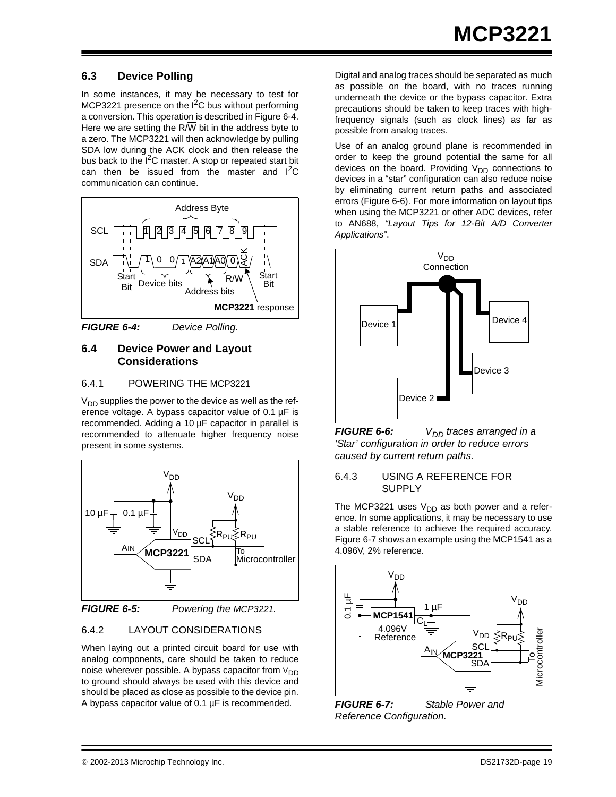## <span id="page-18-1"></span>**6.3 Device Polling**

In some instances, it may be necessary to test for MCP3221 presence on the I<sup>2</sup>C bus without performing a conversion. This operation is described in [Figure 6-4](#page-18-2). Here we are setting the  $R/\overline{W}$  bit in the address byte to a zero. The MCP3221 will then acknowledge by pulling SDA low during the ACK clock and then release the bus back to the I<sup>2</sup>C master. A stop or repeated start bit can then be issued from the master and  $I^2C$ communication can continue.



<span id="page-18-2"></span>*FIGURE 6-4: Device Polling.*

#### <span id="page-18-0"></span>**6.4 Device Power and Layout Considerations**

#### 6.4.1 POWERING THE MCP3221

 $V_{DD}$  supplies the power to the device as well as the reference voltage. A bypass capacitor value of 0.1 µF is recommended. Adding a 10 µF capacitor in parallel is recommended to attenuate higher frequency noise present in some systems.





## 6.4.2 LAYOUT CONSIDERATIONS

When laying out a printed circuit board for use with analog components, care should be taken to reduce noise wherever possible. A bypass capacitor from  $V_{DD}$ to ground should always be used with this device and should be placed as close as possible to the device pin. A bypass capacitor value of 0.1 µF is recommended.

Digital and analog traces should be separated as much as possible on the board, with no traces running underneath the device or the bypass capacitor. Extra precautions should be taken to keep traces with highfrequency signals (such as clock lines) as far as possible from analog traces.

Use of an analog ground plane is recommended in order to keep the ground potential the same for all devices on the board. Providing  $V_{DD}$  connections to devices in a "star" configuration can also reduce noise by eliminating current return paths and associated errors ([Figure 6-6\)](#page-18-3). For more information on layout tips when using the MCP3221 or other ADC devices, refer to AN688, *"Layout Tips for 12-Bit A/D Converter Applications"*.



<span id="page-18-3"></span>*FIGURE 6-6: V<sub>DD</sub> traces arranged in a 'Star' configuration in order to reduce errors caused by current return paths.*

#### 6.4.3 USING A REFERENCE FOR **SUPPLY**

The MCP3221 uses  $V_{DD}$  as both power and a reference. In some applications, it may be necessary to use a stable reference to achieve the required accuracy. [Figure 6-7](#page-18-4) shows an example using the MCP1541 as a 4.096V, 2% reference.



<span id="page-18-4"></span>*FIGURE 6-7: Stable Power and Reference Configuration.*

#### 2002-2013 Microchip Technology Inc. DS21732D-page 19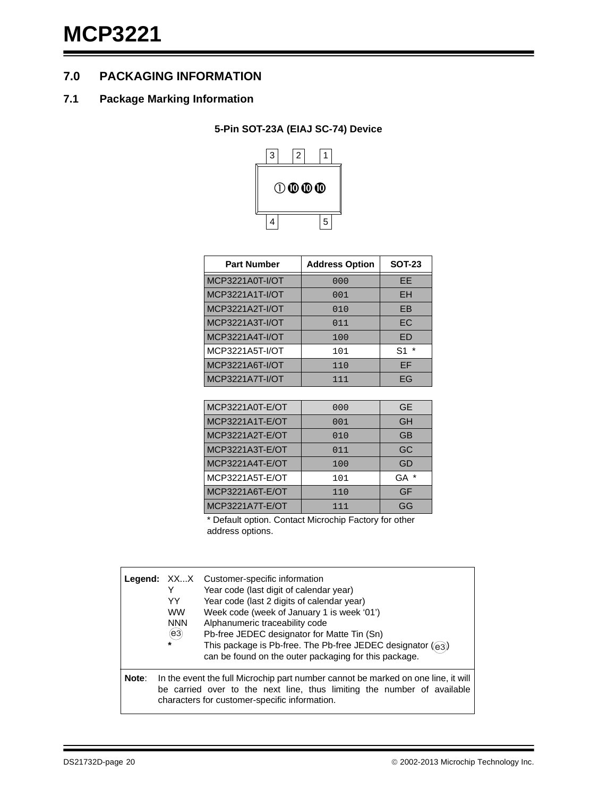## **7.0 PACKAGING INFORMATION**

#### **7.1 Package Marking Information**

## **5-Pin SOT-23A (EIAJ SC-74) Device**



| <b>Part Number</b> | <b>Address Option</b> | <b>SOT-23</b> |
|--------------------|-----------------------|---------------|
| MCP3221A0T-I/OT    | 000                   | EF            |
| MCP3221A1T-I/OT    | 001                   | <b>EH</b>     |
| MCP3221A2T-I/OT    | 010                   | <b>FB</b>     |
| MCP3221A3T-I/OT    | 011                   | EC            |
| MCP3221A4T-I/OT    | 100                   | <b>ED</b>     |
| MCP3221A5T-I/OT    | 101                   | S1            |
| MCP3221A6T-I/OT    | 110                   | EF            |
| MCP3221A7T-I/OT    | 111                   | EG            |

| MCP3221A0T-E/OT | 000 | <b>GE</b> |
|-----------------|-----|-----------|
| MCP3221A1T-E/OT | 001 | GH        |
| MCP3221A2T-E/OT | 010 | <b>GB</b> |
| MCP3221A3T-E/OT | 011 | GC        |
| MCP3221A4T-E/OT | 100 | GD        |
| MCP3221A5T-E/OT | 101 | GA        |
| MCP3221A6T-E/OT | 110 | GF        |
| MCP3221A7T-E/OT | 111 | GG        |

\* Default option. Contact Microchip Factory for other address options.

|       | YY<br><b>WW</b><br><b>NNN</b><br>$(\mathsf{e}3)$<br>$\star$ | <b>Legend:</b> XXX Customer-specific information<br>Year code (last digit of calendar year)<br>Year code (last 2 digits of calendar year)<br>Week code (week of January 1 is week '01')<br>Alphanumeric traceability code<br>Pb-free JEDEC designator for Matte Tin (Sn)<br>This package is Pb-free. The Pb-free JEDEC designator $(q_3)$<br>can be found on the outer packaging for this package. |
|-------|-------------------------------------------------------------|----------------------------------------------------------------------------------------------------------------------------------------------------------------------------------------------------------------------------------------------------------------------------------------------------------------------------------------------------------------------------------------------------|
| Note: |                                                             | In the event the full Microchip part number cannot be marked on one line, it will<br>be carried over to the next line, thus limiting the number of available<br>characters for customer-specific information.                                                                                                                                                                                      |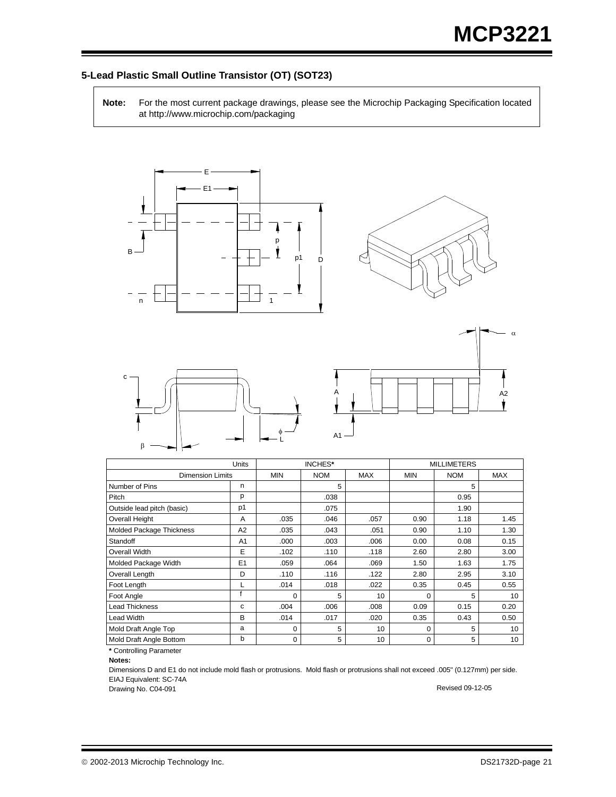#### **5-Lead Plastic Small Outline Transistor (OT) (SOT23)**

**Note:** For the most current package drawings, please see the Microchip Packaging Specification located at http://www.microchip.com/packaging









|                            | Units          | INCHES*    |            |            | <b>MILLIMETERS</b> |            |            |
|----------------------------|----------------|------------|------------|------------|--------------------|------------|------------|
| <b>Dimension Limits</b>    |                | <b>MIN</b> | <b>NOM</b> | <b>MAX</b> | <b>MIN</b>         | <b>NOM</b> | <b>MAX</b> |
| Number of Pins             | n              |            | 5          |            |                    | 5          |            |
| Pitch                      | p              |            | .038       |            |                    | 0.95       |            |
| Outside lead pitch (basic) | p1             |            | .075       |            |                    | 1.90       |            |
| Overall Height             | A              | .035       | .046       | .057       | 0.90               | 1.18       | 1.45       |
| Molded Package Thickness   | A <sub>2</sub> | .035       | .043       | .051       | 0.90               | 1.10       | 1.30       |
| Standoff                   | A <sub>1</sub> | .000       | .003       | .006       | 0.00               | 0.08       | 0.15       |
| Overall Width              | E              | .102       | .110       | .118       | 2.60               | 2.80       | 3.00       |
| Molded Package Width       | E1             | .059       | .064       | .069       | 1.50               | 1.63       | 1.75       |
| Overall Length             | D              | .110       | .116       | .122       | 2.80               | 2.95       | 3.10       |
| Foot Length                |                | .014       | .018       | .022       | 0.35               | 0.45       | 0.55       |
| Foot Angle                 |                | 0          | 5          | 10         | $\Omega$           | 5          | 10         |
| <b>Lead Thickness</b>      | c              | .004       | .006       | .008       | 0.09               | 0.15       | 0.20       |
| Lead Width                 | B              | .014       | .017       | .020       | 0.35               | 0.43       | 0.50       |
| Mold Draft Angle Top       | a              | 0          | 5          | 10         | $\Omega$           | 5          | 10         |
| Mold Draft Angle Bottom    | b              | 0          | 5          | 10         | 0                  | 5          | 10         |

**\*** Controlling Parameter

**Notes:**

Dimensions D and E1 do not include mold flash or protrusions. Mold flash or protrusions shall not exceed .005" (0.127mm) per side. EIAJ Equivalent: SC-74A

Drawing No. C04-091

Revised 09-12-05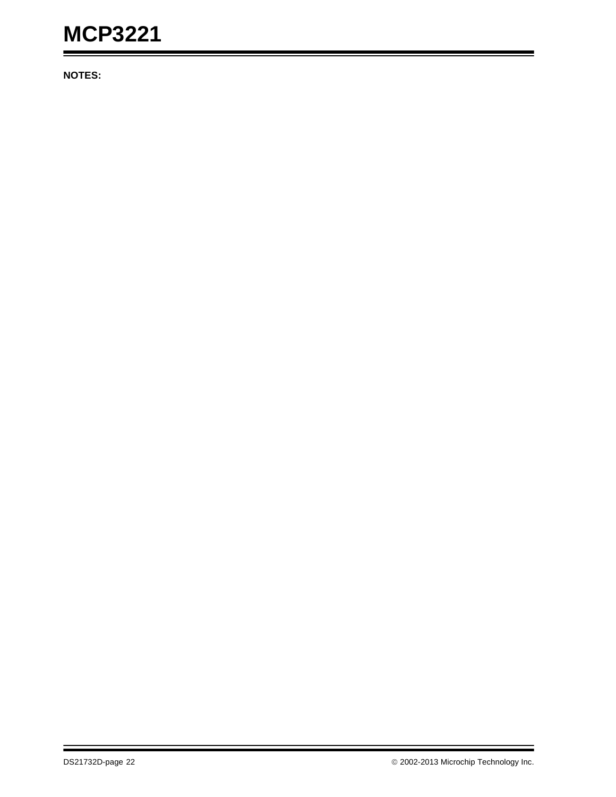**NOTES:**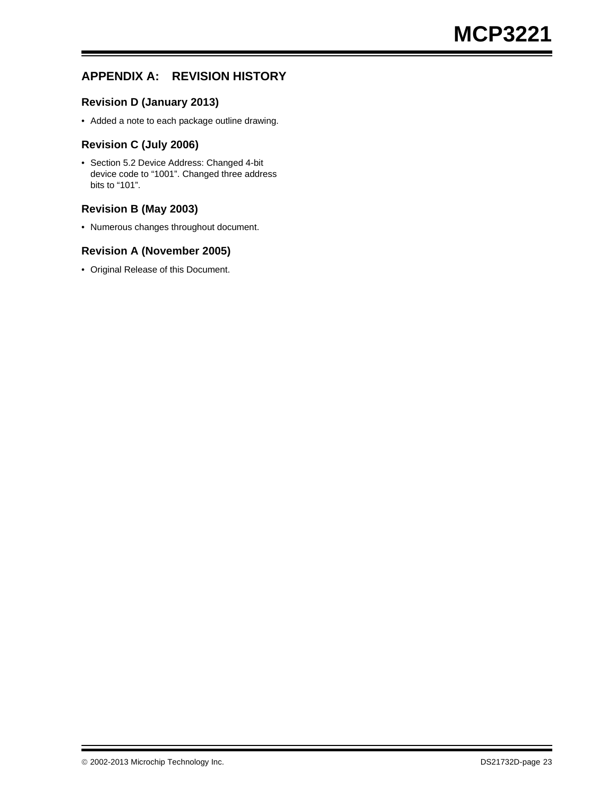## **APPENDIX A: REVISION HISTORY**

#### **Revision D (January 2013)**

• Added a note to each package outline drawing.

#### **Revision C (July 2006)**

• Section 5.2 Device Address: Changed 4-bit device code to "1001". Changed three address bits to "101".

#### **Revision B (May 2003)**

• Numerous changes throughout document.

#### **Revision A (November 2005)**

• Original Release of this Document.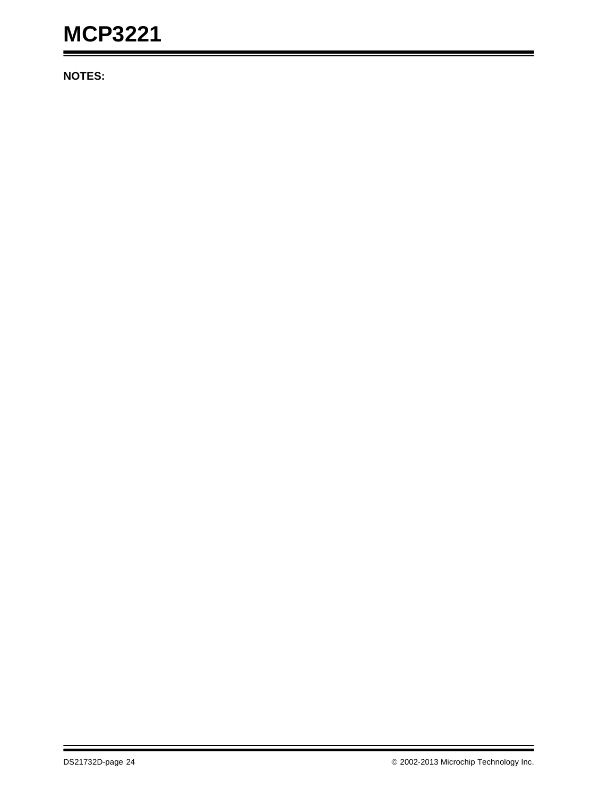**NOTES:**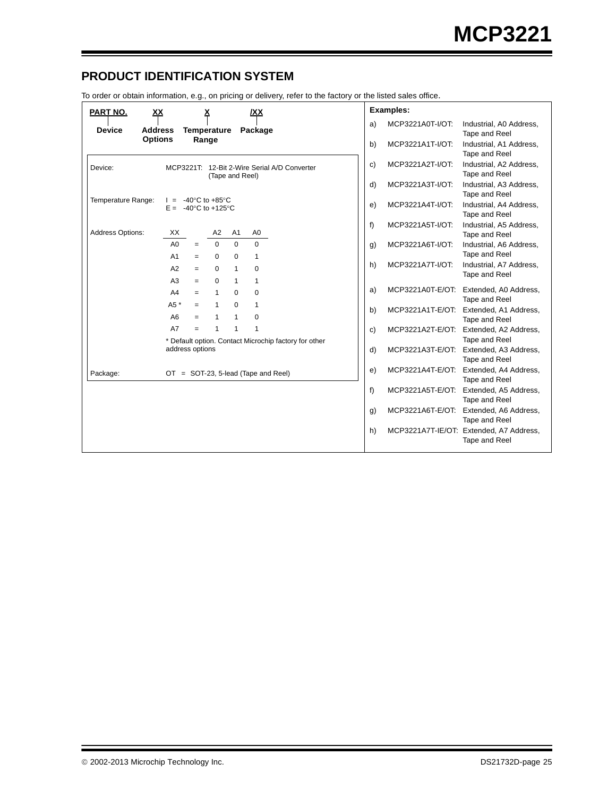## **PRODUCT IDENTIFICATION SYSTEM**

To order or obtain information, e.g., on pricing or delivery, refer to the factory or the listed sales office.

| PART NO.<br><u>XX</u>           | <u>х</u><br>/XX                                                                                      | <b>Examples:</b>                                                   |
|---------------------------------|------------------------------------------------------------------------------------------------------|--------------------------------------------------------------------|
| <b>Device</b><br><b>Address</b> | <b>Temperature</b><br>Package                                                                        | MCP3221A0T-I/OT:<br>a)<br>Industrial, A0 Address,<br>Tape and Reel |
| <b>Options</b>                  | Range                                                                                                | b)<br>MCP3221A1T-I/OT:<br>Industrial, A1 Address,<br>Tape and Reel |
| Device:                         | MCP3221T: 12-Bit 2-Wire Serial A/D Converter<br>(Tape and Reel)                                      | MCP3221A2T-I/OT:<br>Industrial, A2 Address,<br>c)<br>Tape and Reel |
|                                 |                                                                                                      | d)<br>MCP3221A3T-I/OT:<br>Industrial, A3 Address,<br>Tape and Reel |
| Temperature Range:              | -40 $^{\circ}$ C to +85 $^{\circ}$ C<br>$E = -40^{\circ}$ C to +125°C                                | Industrial, A4 Address,<br>e)<br>MCP3221A4T-I/OT:<br>Tape and Reel |
| Address Options:                | XX<br>A <sub>0</sub><br>A2<br>A <sub>1</sub>                                                         | f<br>MCP3221A5T-I/OT:<br>Industrial, A5 Address,<br>Tape and Reel  |
|                                 | A <sub>0</sub><br>$\Omega$<br>$\Omega$<br>$\Omega$<br>$=$<br>A1<br>0<br>$\mathbf{1}$<br>0<br>$=$     | MCP3221A6T-I/OT:<br>Industrial, A6 Address,<br>g)<br>Tape and Reel |
|                                 | A2<br>$\Omega$<br>$\mathbf{1}$<br>$\Omega$<br>$=$                                                    | h)<br>MCP3221A7T-I/OT:<br>Industrial, A7 Address,<br>Tape and Reel |
|                                 | A <sub>3</sub><br>$\mathbf{1}$<br>1<br>0<br>$=$<br>A4<br>$\Omega$<br>$\Omega$<br>$\mathbf{1}$<br>$=$ | MCP3221A0T-E/OT:<br>Extended, A0 Address,<br>a)<br>Tape and Reel   |
|                                 | A5 *<br>$\Omega$<br>1<br>1<br>$=$<br>A <sub>6</sub><br>$\Omega$<br>1<br>1<br>$=$                     | MCP3221A1T-E/OT:<br>Extended, A1 Address,<br>b)<br>Tape and Reel   |
|                                 | A7<br>1<br>1<br>1<br>$=$<br>* Default option. Contact Microchip factory for other                    | MCP3221A2T-E/OT: Extended, A2 Address,<br>c)<br>Tape and Reel      |
|                                 | address options                                                                                      | d)<br>MCP3221A3T-E/OT: Extended, A3 Address,<br>Tape and Reel      |
| Package:                        | OT = SOT-23, 5-lead (Tape and Reel)                                                                  | e)<br>MCP3221A4T-E/OT:<br>Extended, A4 Address,<br>Tape and Reel   |
|                                 |                                                                                                      | MCP3221A5T-E/OT:<br>f<br>Extended, A5 Address,<br>Tape and Reel    |
|                                 |                                                                                                      | MCP3221A6T-E/OT: Extended, A6 Address,<br>g)<br>Tape and Reel      |
|                                 |                                                                                                      | h)<br>MCP3221A7T-IE/OT: Extended, A7 Address,<br>Tape and Reel     |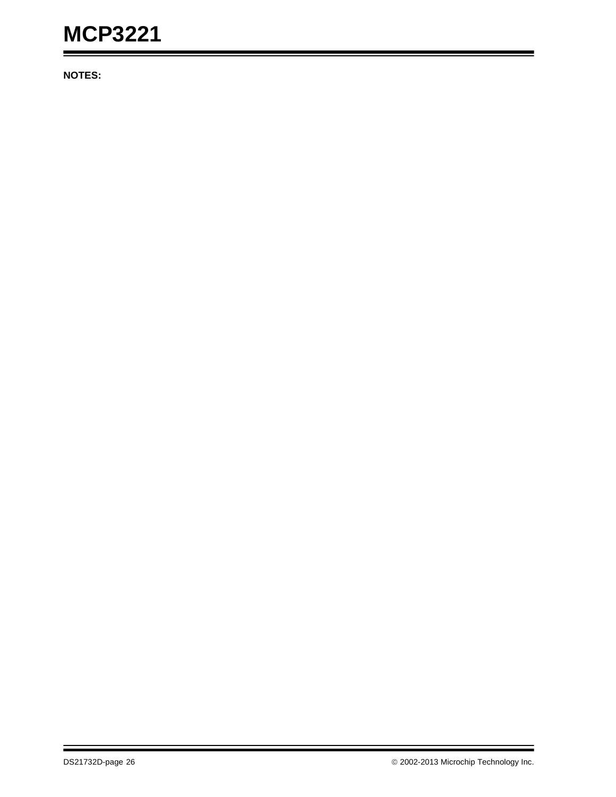**NOTES:**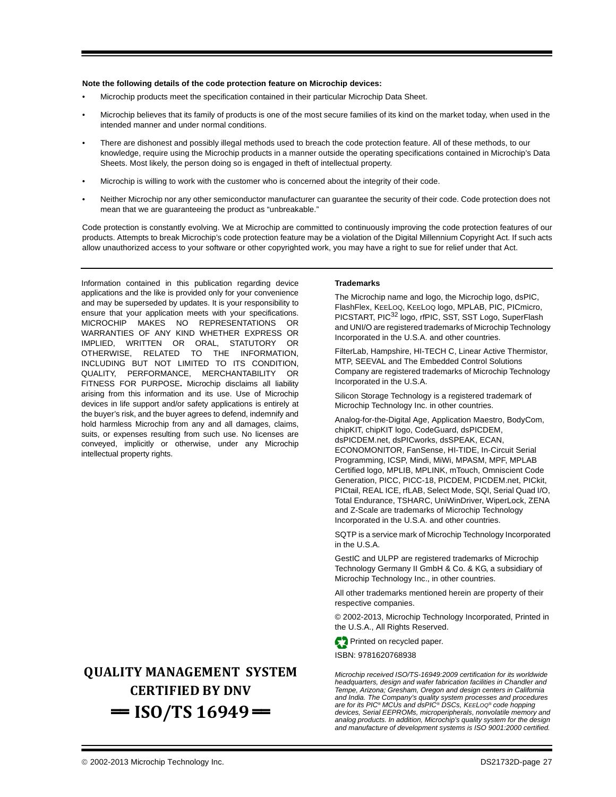#### **Note the following details of the code protection feature on Microchip devices:**

- Microchip products meet the specification contained in their particular Microchip Data Sheet.
- Microchip believes that its family of products is one of the most secure families of its kind on the market today, when used in the intended manner and under normal conditions.
- There are dishonest and possibly illegal methods used to breach the code protection feature. All of these methods, to our knowledge, require using the Microchip products in a manner outside the operating specifications contained in Microchip's Data Sheets. Most likely, the person doing so is engaged in theft of intellectual property.
- Microchip is willing to work with the customer who is concerned about the integrity of their code.
- Neither Microchip nor any other semiconductor manufacturer can guarantee the security of their code. Code protection does not mean that we are guaranteeing the product as "unbreakable."

Code protection is constantly evolving. We at Microchip are committed to continuously improving the code protection features of our products. Attempts to break Microchip's code protection feature may be a violation of the Digital Millennium Copyright Act. If such acts allow unauthorized access to your software or other copyrighted work, you may have a right to sue for relief under that Act.

Information contained in this publication regarding device applications and the like is provided only for your convenience and may be superseded by updates. It is your responsibility to ensure that your application meets with your specifications. MICROCHIP MAKES NO REPRESENTATIONS OR WARRANTIES OF ANY KIND WHETHER EXPRESS OR IMPLIED, WRITTEN OR ORAL, STATUTORY OR OTHERWISE, RELATED TO THE INFORMATION, INCLUDING BUT NOT LIMITED TO ITS CONDITION, QUALITY, PERFORMANCE, MERCHANTABILITY OR FITNESS FOR PURPOSE**.** Microchip disclaims all liability arising from this information and its use. Use of Microchip devices in life support and/or safety applications is entirely at the buyer's risk, and the buyer agrees to defend, indemnify and hold harmless Microchip from any and all damages, claims, suits, or expenses resulting from such use. No licenses are conveyed, implicitly or otherwise, under any Microchip intellectual property rights.

# **QUALITY MANAGEMENT SYSTEM CERTIFIED BY DNV**   $=$  **ISO/TS 16949** $=$

#### **Trademarks**

The Microchip name and logo, the Microchip logo, dsPIC, FlashFlex, KEELOQ, KEELOQ logo, MPLAB, PIC, PICmicro, PICSTART, PIC<sup>32</sup> logo, rfPIC, SST, SST Logo, SuperFlash and UNI/O are registered trademarks of Microchip Technology Incorporated in the U.S.A. and other countries.

FilterLab, Hampshire, HI-TECH C, Linear Active Thermistor, MTP, SEEVAL and The Embedded Control Solutions Company are registered trademarks of Microchip Technology Incorporated in the U.S.A.

Silicon Storage Technology is a registered trademark of Microchip Technology Inc. in other countries.

Analog-for-the-Digital Age, Application Maestro, BodyCom, chipKIT, chipKIT logo, CodeGuard, dsPICDEM, dsPICDEM.net, dsPICworks, dsSPEAK, ECAN, ECONOMONITOR, FanSense, HI-TIDE, In-Circuit Serial Programming, ICSP, Mindi, MiWi, MPASM, MPF, MPLAB Certified logo, MPLIB, MPLINK, mTouch, Omniscient Code Generation, PICC, PICC-18, PICDEM, PICDEM.net, PICkit, PICtail, REAL ICE, rfLAB, Select Mode, SQI, Serial Quad I/O, Total Endurance, TSHARC, UniWinDriver, WiperLock, ZENA and Z-Scale are trademarks of Microchip Technology Incorporated in the U.S.A. and other countries.

SQTP is a service mark of Microchip Technology Incorporated in the U.S.A.

GestIC and ULPP are registered trademarks of Microchip Technology Germany II GmbH & Co. & KG, a subsidiary of Microchip Technology Inc., in other countries.

All other trademarks mentioned herein are property of their respective companies.

© 2002-2013, Microchip Technology Incorporated, Printed in the U.S.A., All Rights Reserved.

Printed on recycled paper.

ISBN: 9781620768938

*Microchip received ISO/TS-16949:2009 certification for its worldwide headquarters, design and wafer fabrication facilities in Chandler and Tempe, Arizona; Gresham, Oregon and design centers in California and India. The Company's quality system processes and procedures are for its PIC® MCUs and dsPIC® DSCs, KEELOQ® code hopping devices, Serial EEPROMs, microperipherals, nonvolatile memory and analog products. In addition, Microchip's quality system for the design and manufacture of development systems is ISO 9001:2000 certified.*